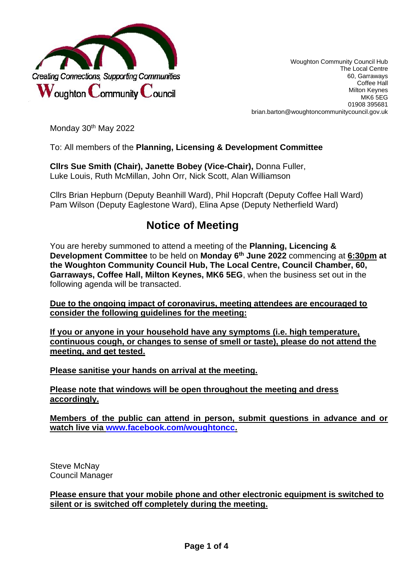

Woughton Community Council Hub The Local Centre 60, Garraways Coffee Hall Milton Keynes MK6 5EG 01908 395681 brian.barton@woughtoncommunitycouncil.gov.uk

Monday 30<sup>th</sup> May 2022

To: All members of the **Planning, Licensing & Development Committee**

**Cllrs Sue Smith (Chair), Janette Bobey (Vice-Chair),** Donna Fuller, Luke Louis, Ruth McMillan, John Orr, Nick Scott, Alan Williamson

Cllrs Brian Hepburn (Deputy Beanhill Ward), Phil Hopcraft (Deputy Coffee Hall Ward) Pam Wilson (Deputy Eaglestone Ward), Elina Apse (Deputy Netherfield Ward)

# **Notice of Meeting**

You are hereby summoned to attend a meeting of the **Planning, Licencing & Development Committee** to be held on **Monday 6 th June 2022** commencing at **6:30pm at the Woughton Community Council Hub, The Local Centre, Council Chamber, 60, Garraways, Coffee Hall, Milton Keynes, MK6 5EG**, when the business set out in the following agenda will be transacted.

**Due to the ongoing impact of coronavirus, meeting attendees are encouraged to consider the following guidelines for the meeting:**

**If you or anyone in your household have any symptoms (i.e. high temperature, continuous cough, or changes to sense of smell or taste), please do not attend the meeting, and get tested.** 

**Please sanitise your hands on arrival at the meeting.**

**Please note that windows will be open throughout the meeting and dress accordingly.**

**Members of the public can attend in person, submit questions in advance and or watch live via [www.facebook.com/woughtoncc.](http://www.facebook.com/woughtoncc)** 

Steve McNay Council Manager

**Please ensure that your mobile phone and other electronic equipment is switched to silent or is switched off completely during the meeting.**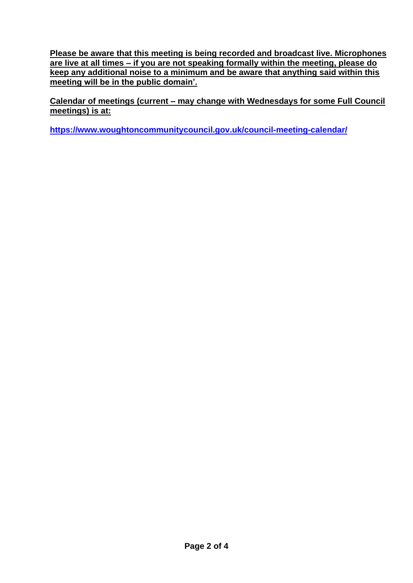**Please be aware that this meeting is being recorded and broadcast live. Microphones are live at all times – if you are not speaking formally within the meeting, please do keep any additional noise to a minimum and be aware that anything said within this meeting will be in the public domain'.** 

**Calendar of meetings (current – may change with Wednesdays for some Full Council meetings) is at:** 

**<https://www.woughtoncommunitycouncil.gov.uk/council-meeting-calendar/>**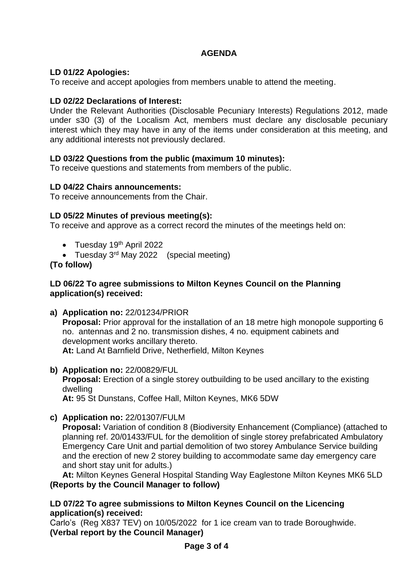## **AGENDA**

## **LD 01/22 Apologies:**

To receive and accept apologies from members unable to attend the meeting.

## **LD 02/22 Declarations of Interest:**

Under the Relevant Authorities (Disclosable Pecuniary Interests) Regulations 2012, made under s30 (3) of the Localism Act, members must declare any disclosable pecuniary interest which they may have in any of the items under consideration at this meeting, and any additional interests not previously declared.

## **LD 03/22 Questions from the public (maximum 10 minutes):**

To receive questions and statements from members of the public.

## **LD 04/22 Chairs announcements:**

To receive announcements from the Chair.

## **LD 05/22 Minutes of previous meeting(s):**

To receive and approve as a correct record the minutes of the meetings held on:

- Tuesday 19<sup>th</sup> April 2022
- Tuesday 3<sup>rd</sup> May 2022 (special meeting)

## **(To follow)**

## **LD 06/22 To agree submissions to Milton Keynes Council on the Planning application(s) received:**

- **a) Application no:** 22/01234/PRIOR **Proposal:** Prior approval for the installation of an 18 metre high monopole supporting 6 no. antennas and 2 no. transmission dishes, 4 no. equipment cabinets and development works ancillary thereto. **At:** Land At Barnfield Drive, Netherfield, Milton Keynes
- **b) Application no:** 22/00829/FUL
	- **Proposal:** Erection of a single storey outbuilding to be used ancillary to the existing dwelling

**At:** 95 St Dunstans, Coffee Hall, Milton Keynes, MK6 5DW

**c) Application no:** 22/01307/FULM

**Proposal:** Variation of condition 8 (Biodiversity Enhancement (Compliance) (attached to planning ref. 20/01433/FUL for the demolition of single storey prefabricated Ambulatory Emergency Care Unit and partial demolition of two storey Ambulance Service building and the erection of new 2 storey building to accommodate same day emergency care and short stay unit for adults.)

**At:** Milton Keynes General Hospital Standing Way Eaglestone Milton Keynes MK6 5LD **(Reports by the Council Manager to follow)** 

## **LD 07/22 To agree submissions to Milton Keynes Council on the Licencing application(s) received:**

Carlo's (Reg X837 TEV) on 10/05/2022 for 1 ice cream van to trade Boroughwide. **(Verbal report by the Council Manager)**